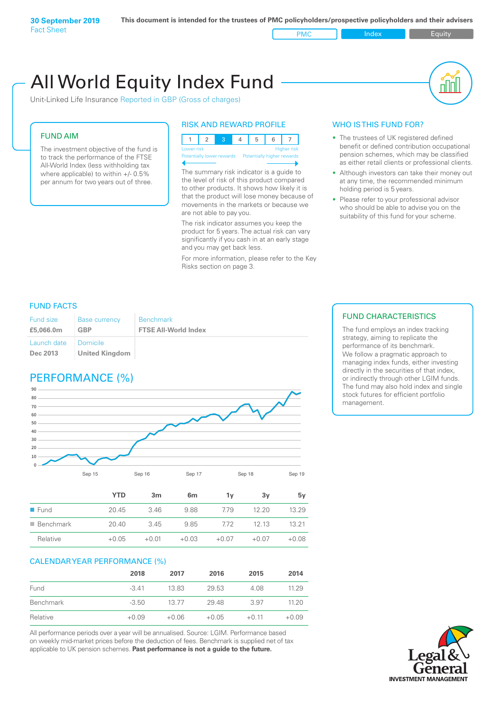# Unit-Linked Life Insurance Reported in GBP (Gross of charges) All World Equity Index Fund

#### FUND AIM

The investment objective of the fund is to track the performance of the FTSE All-World Index (less withholding tax where applicable) to within +/- 0.5% per annum for two years out of three.

#### RISK AND REWARD PROFILE

|  |            |  |                                                      | 5 |  |                    |
|--|------------|--|------------------------------------------------------|---|--|--------------------|
|  | Lower risk |  |                                                      |   |  | <b>Higher</b> risk |
|  |            |  | Potentially lower rewards Potentially higher rewards |   |  |                    |
|  |            |  |                                                      |   |  |                    |

The summary risk indicator is a guide to the level of risk of this product compared to other products. It shows how likely it is that the product will lose money because of movements in the markets or because we are not able to pay you.

The risk indicator assumes you keep the product for 5 years. The actual risk can vary significantly if you cash in at an early stage and you may get back less.

For more information, please refer to the Key Risks section on page 3.

#### WHO IS THIS FUND FOR?

- The trustees of UK registered defined benefit or defined contribution occupational pension schemes, which may be classified as either retail clients or professional clients.
- Although investors can take their money out at any time, the recommended minimum holding period is 5 years.
- Please refer to your professional advisor who should be able to advise you on the suitability of this fund for your scheme.

#### FUND FACTS

| Fund size               | <b>Base currency</b>              | <b>Benchmark</b>            |
|-------------------------|-----------------------------------|-----------------------------|
| £5,066,0m               | <b>GBP</b>                        | <b>FTSE All-World Index</b> |
| Launch date<br>Dec 2013 | Domicile<br><b>United Kingdom</b> |                             |

### PERFORMANCE (%)



| 5v                       |
|--------------------------|
| 13.29                    |
| 13 21                    |
| $+0.08$                  |
| 12,20<br>1213<br>$+0.07$ |

#### CALENDAR YEAR PERFORMANCE (%)

|           | 2018    | 2017    | 2016    | 2015    | 2014    |
|-----------|---------|---------|---------|---------|---------|
| Fund      | $-3.41$ | 13.83   | 29.53   | 4.08    | 11.29   |
| Benchmark | $-3.50$ | 13.77   | 29.48   | 3.97    | 11.20   |
| Relative  | $+0.09$ | $+0.06$ | $+0.05$ | $+0.11$ | $+0.09$ |

All performance periods over a year will be annualised. Source: LGIM. Performance based on weekly mid-market prices before the deduction of fees. Benchmark is supplied net of tax applicable to UK pension schemes. **Past performance is not a guide to the future.**

#### FUND CHARACTERISTICS

The fund employs an index tracking strategy, aiming to replicate the performance of its benchmark. We follow a pragmatic approach to managing index funds, either investing directly in the securities of that index, or indirectly through other LGIM funds. The fund may also hold index and single stock futures for efficient portfolio management.

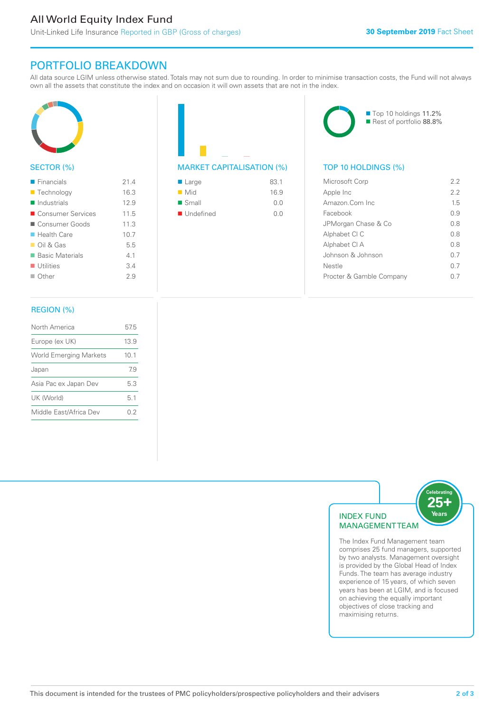### All World Equity Index Fund

Unit-Linked Life Insurance Reported in GBP (Gross of charges)

#### PORTFOLIO BREAKDOWN

All data source LGIM unless otherwise stated. Totals may not sum due to rounding. In order to minimise transaction costs, the Fund will not always own all the assets that constitute the index and on occasion it will own assets that are not in the index.



#### SECTOR (%)

| $\blacksquare$ Financials  | 214  |
|----------------------------|------|
| ■ Technology               | 16.3 |
| $\blacksquare$ Industrials | 12.9 |
| ■ Consumer Services        | 11.5 |
| Consumer Goods             | 11.3 |
| $\blacksquare$ Health Care | 10.7 |
| $\Box$ Oil & Gas           | 5.5  |
| ■ Basic Materials          | 41   |
| $\blacksquare$ Utilities   | 3.4  |
| $\Box$ Other               | 29   |
|                            |      |

#### REGION (%)

| North America                 | 57.5 |
|-------------------------------|------|
| Europe (ex UK)                | 13.9 |
| <b>World Emerging Markets</b> | 10.1 |
| Japan                         | 79   |
| Asia Pac ex Japan Dev         | 53   |
| UK (World)                    | 51   |
| Middle East/Africa Dev        | 02   |
|                               |      |

## MARKET CAPITALISATION (%) TOP 10 HOLDINGS (%)

| $\blacksquare$ Large     | 83.1 |
|--------------------------|------|
| $\blacksquare$ Mid       | 16.9 |
| $\blacksquare$ Small     | 0.0  |
| $\blacksquare$ Undefined | 0.0  |



| Microsoft Corp           | 22  |
|--------------------------|-----|
| Apple Inc                | 2.2 |
| Amazon Com Inc.          | 15  |
| Facebook                 | O 9 |
| JPMorgan Chase & Co      | 0 S |
| Alphabet CI C            | 0 S |
| Alphabet CI A            | 0 S |
| Johnson & Johnson        | 0 7 |
| Nestle                   | 0.7 |
| Procter & Gamble Company |     |
|                          |     |



The Index Fund Management team comprises 25 fund managers, supported by two analysts. Management oversight is provided by the Global Head of Index Funds. The team has average industry experience of 15 years, of which seven years has been at LGIM, and is focused on achieving the equally important objectives of close tracking and maximising returns.